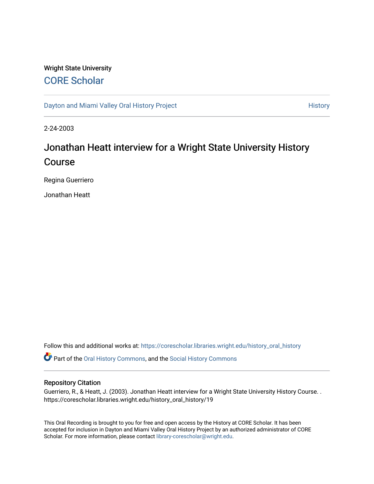### Wright State University [CORE Scholar](https://corescholar.libraries.wright.edu/)

[Dayton and Miami Valley Oral History Project](https://corescholar.libraries.wright.edu/history_oral_history) **History** History

2-24-2003

# Jonathan Heatt interview for a Wright State University History Course

Regina Guerriero

Jonathan Heatt

Follow this and additional works at: [https://corescholar.libraries.wright.edu/history\\_oral\\_history](https://corescholar.libraries.wright.edu/history_oral_history?utm_source=corescholar.libraries.wright.edu%2Fhistory_oral_history%2F19&utm_medium=PDF&utm_campaign=PDFCoverPages) 

Part of the [Oral History Commons](http://network.bepress.com/hgg/discipline/1195?utm_source=corescholar.libraries.wright.edu%2Fhistory_oral_history%2F19&utm_medium=PDF&utm_campaign=PDFCoverPages), and the [Social History Commons](http://network.bepress.com/hgg/discipline/506?utm_source=corescholar.libraries.wright.edu%2Fhistory_oral_history%2F19&utm_medium=PDF&utm_campaign=PDFCoverPages)

#### Repository Citation

Guerriero, R., & Heatt, J. (2003). Jonathan Heatt interview for a Wright State University History Course. . https://corescholar.libraries.wright.edu/history\_oral\_history/19

This Oral Recording is brought to you for free and open access by the History at CORE Scholar. It has been accepted for inclusion in Dayton and Miami Valley Oral History Project by an authorized administrator of CORE Scholar. For more information, please contact [library-corescholar@wright.edu](mailto:library-corescholar@wright.edu).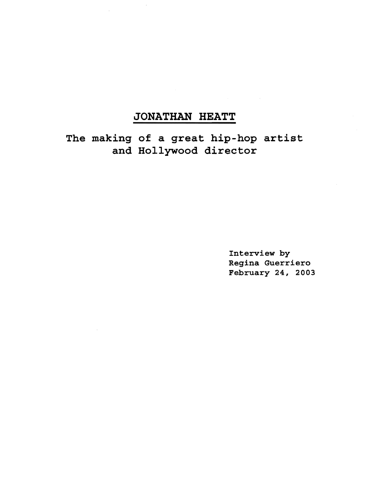## **JONATHAN HEATT**

**The making of a great hip-hop artist and Hollywood director** 

> Interview by Regina Guerriero February 24, 2003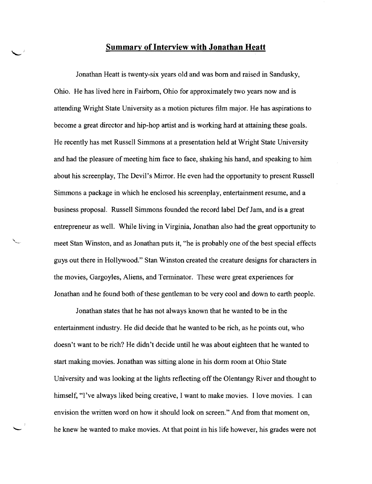### **Summary of Interview with Jonathan Heatt**

 $\mathcal{L}$ 

'-

Jonathan Heatt is twenty-six years old and was born and raised in Sandusky, Ohio. He has lived here in Fairborn, Ohio for approximateiytwo years now and is attending Wright State University as a motion pictures film major. He has aspirations to become a great director and hip-hop artist and is working hard at attaining these goals. He recently has met Russell Simmons at a presentation held at Wright State University and had the pleasure of meeting him face to face, shaking his hand, and speaking to him about his screenplay, The Devil's Mirror. He even had the opportunity to present Russell Simmons a package in which he enclosed his screenplay, entertainment resume, and a business proposal. Russell Simmons founded the record label Def Jam, and is a great entrepreneur as well. While living in Virginia, Jonathan also had the great opportunity to meet Stan Winston, and as Jonathan puts it, "he is probably one of the best special effects guys out there in Hollywood." Stan Winston created the creature designs for characters in the movies, Gargoyles, Aliens, and Terminator. These were great experiences for Jonathan and he found both of these gentleman to be very cool and down to earth people.

Jonathan states that he has not always known that he wanted to be in the entertainment industry. He did decide that he wanted to be rich, as he points out, who doesn't want to be rich? He didn't decide until he was about eighteen that he wanted to start making movies. Jonathan was sitting alone in his dorm room at Ohio State University and was looking at the lights reflecting off the Olentangy River and thought to himself, "I've always liked being creative, I want to make movies. I love movies. I can envision the written word on how it should look on screen." And from that moment on, he knew he wanted to make movies. At that point in his life however, his grades were not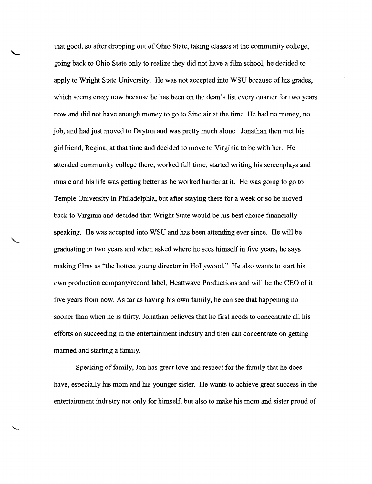that good, so after dropping out of Ohio State, taking classes at the community college, going back to Ohio State only to realize they did not have a film school, he decided to apply to Wright State University. He was not accepted into WSU because of his grades, which seems crazy now because he has been on the dean's list every quarter for two years now and did not have enough money to go to Sinclair at the time. He had no money, no job, and had just moved to Dayton and was pretty much alone. Jonathan then met his girlfriend, Regina, at that time and decided to move to Virginia to be with her. He attended community college there, worked full time, started writing his screenplays and music and his life was getting better as he worked harder at it. He was going to go to Temple University in Philadelphia, but after staying there for a week or so he moved back to Virginia and decided that Wright State would be his best choice financially speaking. He was accepted into WSU and has been attending ever since. He will be graduating in two years and when asked where he sees himself in five years, he says making films as "the hottest young director in Hollywood." He also wants to start his own production company/record label, Heattwave Productions and will be the CEO ofit five years from now. As far as having his own family, he can see that happening no sooner than when he is thirty. Jonathan believes that he first needs to concentrate all his efforts on succeeding in the entertainment industry and then can concentrate on getting married and starting a family.

Speaking of family, Jon has great love and respect for the family that he does have, especially his mom and his younger sister. He wants to achieve great success in the entertainment industry not only for himself, but also to make his mom and sister proud of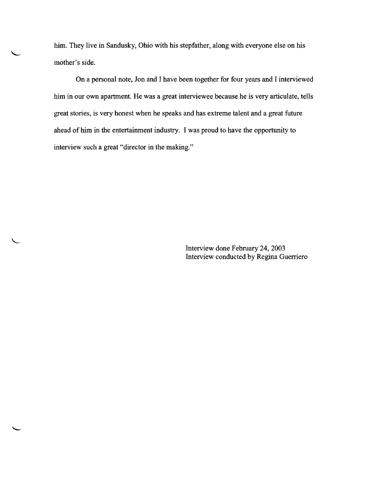him. They live in Sandusky, Ohio with his stepfather, along with everyone else on his mother's side.

On a personal note, Jon and I have been together for four years and I interviewed him in our own apartment. He was a great interviewee because he is very articulate, tells great stories, is very honest when he speaks and has extreme talent and a great future ahead of him in the entertainment industry. I was proud to have the opportunity to interview such a great "director in the making."

> Interview done February 24,2003 Interview conducted by Regina Guerriero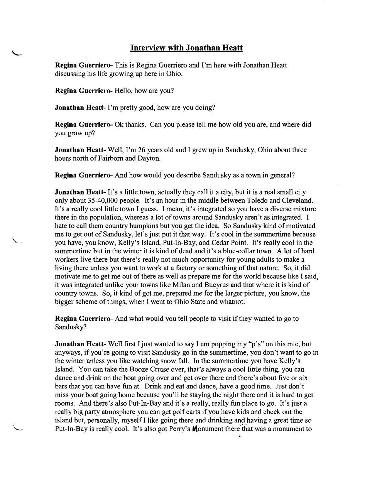### **Interview with Jonathan Heatt**

Regina Guerriero- This is Regina Guerriero and I'm here with Jonathan Heatt discussing his life growing up here in Ohio.

Regina Guerriero- Hello, how are you?

Jonathan Heatt- I'm pretty good, how are you doing?

Regina Guerriero- Ok thanks. Can you please tell me how old you are, and where did you grow up?

Jonathan Heatt- Well, I'm 26 years old and I grew up in Sandusky, Ohio about three hours north of Fairborn and Dayton.

Regina Guerriero- And how would you describe Sandusky as a town in general?

Jonathan Heatt- It's a little town, actually they call it a city, but it is a real small city only about 35-40,000 people. It's an hour in the middle between Toledo and Cleveland. It's a really cool little town I guess. I mean, it's integrated so you have a diverse mixture there in the population, whereas a lot of towns around Sandusky aren't as integrated. I hate to call them country bumpkins but you get the idea. So Sandusky kind of motivated me to get out of Sandusky, let's just put it that way. It's cool in the summertime because you have, you know, Kelly's Island, Put-In-Bay, and Cedar Point. It's really cool in the summertime but in the winter it is kind of dead and it's a blue-collar town. A lot of hard workers live there but there's really not much opportunity for young adults to make a living there unless you want to work at a factory or something of that nature. So, it did motivate me to get me out of there as well as prepare me for the world because like I said, it was integrated unlike your towns like Milan and Bucyrus and that where it is kind of country towns. So, it kind of got me, prepared me for the larger picture, you know, the bigger scheme of things, when I went to Ohio State and whatnot.

**Regina Guerriero-** And what would you tell people to visit if they wanted to go to Sandusky?

Jonathan Heatt- Well first I just wanted to say I am popping my "p's" on this mic, but anyways, if you're going to visit Sandusky go in the summertime, you don't want to go in the winter unless you like watching snow fall. In the summertime you have Kelly's Island. You can take the Booze Cruise over, that's always a cool little thing, you can dance and drink on the boat going over and get over there and there's about five or six bars that you can have fun at. Drink and eat and dance, have a good time. Just don't miss your boat going home because you'll be staying the night there and it is hard to get rooms. And there's also Put-In-Bay and it's a really, really fun place to go. It's just a really big party atmosphere you can get golf carts if you have kids and check out the island but, personally, myself I like going there and drinking and having a great time so Put-In-Bay is really cool. It's also got Perry's **M**onument there that was a monument to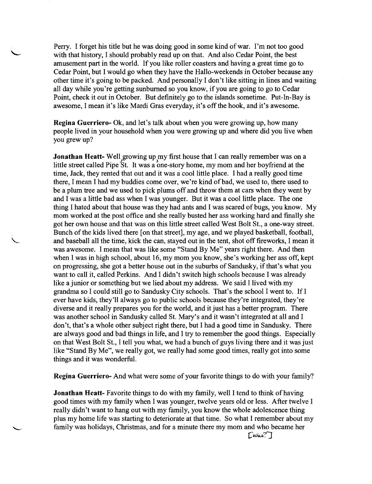Perry. I forget his title but he was doing good in some kind ofwar. I'm not too good with that history, I should probably read up on that. And also Cedar Point, the best amusement part in the world. If you like roller coasters and having a great time go to Cedar Point, but I would go when they have the Hallo-weekends in October because any other time it's going to be packed. And personally I don't like sitting in lines and waiting all day while you're getting sunburned so you know, if you are going to go to Cedar Point, check it out in October. But definitely go to the islands sometime. Put-In-Bay is awesome, I mean it's like Mardi Gras everyday, it's off the hook, and it's awesome.

**Regina Guerriero-** Ok, and let's talk about when you were growing up, how many people lived in your household when you were growing up and where did you live when you grew up?

**Jonathan Heatt-** Well growing up my first house that I can really remember was on a little street called Pipe St. It was a one-story home, my mom and her boyfriend at the time, Jack, they rented that out and it was a cool little place. I had a really good time there, I mean I had my buddies come over, we're kind of bad, we used to, there used to be a plum tree and we used to pick plums off and throw them at cars when they went by and I was a little bad ass when I was younger. But it was a cool little place. The one thing I hated about that house was they had ants and I was scared of bugs, you know. My mom worked at the post office and she really busted her ass working hard and finally she got her own house and that was on this little street called West Bolt St., a one-way street. Bunch of the kids lived there [on that street], my age, and we played basketball, football, and baseball all the time, kick the can, stayed out in the tent, shot off fireworks, I mean it was awesome. I mean that was like some "Stand By Me" years right there. And then when I was in high school, about 16, my mom you know, she's working her ass off, kept on progressing, she got a better house out in the suburbs of Sandusky, if that's what you want to call it, called Perkins. And I didn't switch high schools because I was already like a junior or something but we lied about my address. We said I lived with my grandma so I could still go to Sandusky City schools. That's the school I went to. If I ever have kids, they'll always go to public schools because they're integrated, they're diverse and it really prepares you for the world, and it just has a better program. There was another school in Sandusky called St. Mary's and it wasn't integrated at all and I don't, that's a whole other subject right there, but I had a good time in Sandusky. There are always good and bad things in life, and I try to remember the good things. Especially on that West Bolt St., I tell you what, we had a bunch of guys living there and it was just like "Stand By Me", we really got, we really had some good times, really got into some things and it was wonderful.

**Regina Guerriero-** And what were some of your favorite things to do with your family?

**Jonathan Heatt-** Favorite things to do with my family, well I tend to think of having good times with my family when I was younger, twelve years old or less. After twelve I really didn't want to hang out with my family, you know the whole adolescence thing plus my home life was starting to deteriorate at that time. So what I remember about my family was holidays, Christmas, and for a minute there my mom and who became her

*CWiu.'?"]*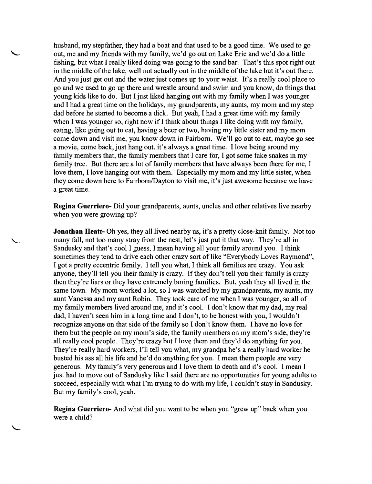husband, my stepfather, they had a boat and that used to be a good time. We used to go out, me and my friends with my family, we'd go out on Lake Erie and we'd do a little fishing, but what I really liked doing was going to the sand bar. That's this spot right out in the middle of the lake, well not actually out in the middle of the lake but it's out there. And you just get out and the water just comes up to your waist. It's a really cool place to go and we used to go up there and wrestle around and swim and you know, do things that young kids like to do. But I just liked hanging out with my family when I was younger and I had a great time on the holidays, my grandparents, my aunts, my mom and my step dad before he started to become a dick. But yeah, I had a great time with my family when I was younger so, right now if I think about things I like doing with my family, eating, like going out to eat, having a beer or two, having my little sister and my mom come down and visit me, you know down in Fairborn. We'll go out to eat, maybe go see a movie, come back, just hang out, it's always a great time. I love being around my family members that, the family members that I care for, I got some fake snakes in my family tree. But there are a lot of family members that have always been there for me, I love them, I love hanging out with them. Especially my mom and my little sister, when they come down here to Fairborn/Dayton to visit me, it's just awesome because we have a great time.

**Regina Guerriero-** Did your grandparents, aunts, uncles and other relatives live nearby when you were growing up?

**Jonathan Heatt-** Dh yes, they all lived nearby us, it's a pretty close-knit family. Not too many fall, not too many stray from the nest, let's just put it that way. They're all in Sandusky and that's cool I guess, I mean having all your family around you. I think sometimes they tend to drive each other crazy sort of like "Everybody Loves Raymond", I got a pretty eccentric family. I tell you what, I think all families are crazy. You ask anyone, they'll tell you their family is crazy. If they don't tell you their family is crazy then they're liars or they have extremely boring families. But, yeah they all lived in the same town. My mom worked a lot, so I was watched by my grandparents, my aunts, my aunt Vanessa and my aunt Robin. They took care of me when I was younger, so all of my family members lived around me, and it's cool. I don't know that my dad, my real dad, I haven't seen him in a long time and I don't, to be honest with you, I wouldn't recognize anyone on that side of the family so I don't know them. I have no love for them but the people on my mom's side, the family members on my mom's side, they're all really cool people. They're crazy but I love them and they'd do anything for you. They're really hard workers, I'll tell you what, my grandpa he's a really hard worker he busted his ass all his life and he'd do anything for you. I mean them people are very generous. My family's very generous and I love them to death and it's cool. I mean I just had to move out of Sandusky like I said there are no opportunities for young adults to succeed, especially with what I'm trying to do with my life, I couldn't stay in Sandusky. But my family's cool, yeah.

**Regina Guerriero-** And what did you want to be when you "grew up" back when you were a child?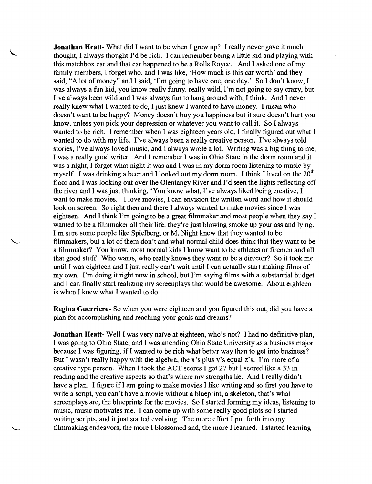**Jonathan Heatt-** What did I want to be when I grew up? I really never gave it much thought, I always thought I'd be rich. I can remember being a little kid and playing with this matchbox car and that car happened to be a Rolls Royce. And I asked one of my family members, I forget who, and I was like, 'How much is this car worth' and they said, "A lot of money" and I said, 'I'm going to have one, one day.' So I don't know, I was always a fun kid, you know really funny, really wild, I'm not going to say crazy, but I've always been wild and I was always fun to hang around with, I think. And I never really knew what I wanted to do, I just knew I wanted to have money. I mean who doesn't want to be happy? Money doesn't buy you happiness but it sure doesn't hurt you know, unless you pick your depression or whatever you want to call it. So I always wanted to be rich. I remember when I was eighteen years old, I finally figured out what I wanted to do with my life. I've always been a really creative person. I've always told stories, I've always loved music, and I always wrote a lot. Writing was a big thing to me, I was a really good writer. And I remember I was in Ohio State in the dorm room and it was a night, I forget what night it was and I was in my dorm room listening to music by myself. I was drinking a beer and I looked out my dorm room. I think I lived on the 20<sup>th</sup> floor and I was looking out over the Olentangy River and I'd seen the lights reflecting off the river and I was just thinking, 'You know what, I've always liked being creative, I want to make movies.' I love movies, I can envision the written word and how it should look on screen. So right then and there I always wanted to make movies since I was eighteen. And I think I'm going to be a great filmmaker and most people when they say I wanted to be a filmmaker all their life, they're just blowing smoke up your ass and lying. I'm sure some people like Spielberg, or M. Night knew that they wanted to be filmmakers, but a lot of them don't and what normal child does think that they want to be a filmmaker? You know, most normal kids I know want to be athletes or firemen and all that good stuff. Who wants, who really knows they want to be a director? So it took me until I was eighteen and I just really can't wait until I can actually start making films of my own. I'm doing it right now in school, but I'm saying films with a substantial budget and I can finally start realizing my screenplays that would be awesome. About eighteen is when I knew what I wanted to do.

Regina Guerriero- So when you were eighteen and you figured this out, did you have a plan for accomplishing and reaching your goals and dreams?

**Jonathan Heatt-** Well I was very naïve at eighteen, who's not? I had no definitive plan, I was going to Ohio State, and I was attending Ohio State University as a business major because I was figuring, if I wanted to be rich what better way than to get into business? But I wasn't really happy with the algebra, the x's plus y's equal z's. I'm more of a creative type person. When I took the ACT scores I got 27 but I scored like a 33 in reading and the creative aspects so that's where my strengths lie. And I really didn't have a plan. I figure if I am going to make movies I like writing and so first you have to write a script, you can't have a movie without a blueprint, a skeleton, that's what screenplays are, the blueprints for the movies. So I started forming my ideas, listening to music, music motivates me. I can come up with some really good plots so I started writing scripts, and it just started evolving. The more effort I put forth into my filmmaking endeavors, the more I blossomed and, the more I learned. I started learning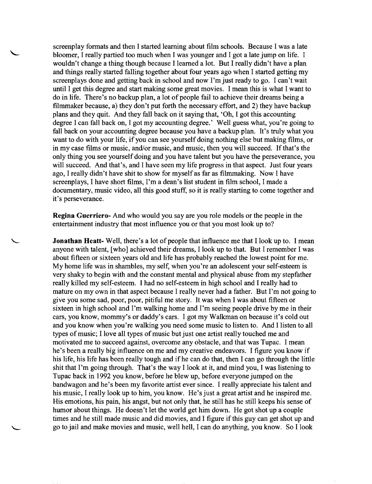screenplay formats and then I started learning about film schools. Because I was a late bloomer, I really partied too much when I was younger and I got a late jump on life. I wouldn't change a thing though because I learned a lot. But I really didn't have a plan and things really started falling together about four years ago when I started getting my screenplays done and getting back in school and now I'm just ready to go. I can't wait until I get this degree and start making some great movies. I mean this is what I want to do in life. There's no backup plan, a lot of people fail to achieve their dreams being a filmmaker because, a) they don't put forth the necessary effort, and 2) they have backup plans and they quit. And they fall back on it saying that, 'Oh, I got this accounting degree I can fall back on, I got my accounting degree.' Well guess what, you're going to fall back on your accounting degree because you have a backup plan. It's truly what you want to do with your life, if you can see yourself doing nothing else but making films, or in my case films or music, and/or music, and music, then you will succeed. If that's the only thing you see yourself doing and you have talent but you have the perseverance, you will succeed. And that's, and I have seen my life progress in that aspect. Just four years ago, I really didn't have shit to show for myself as far as filmmaking. Now I have screenplays, I have short films, I'm a dean's list student in film school, I made a documentary, music video, all this good stuff, so it is really starting to come together and it's perseverance.

**Regina** Guerriero- And who would you say are you role models or the people in the entertainment industry that most influence you or that you most look up to?

**Jonathan Heatt-** Well, there's a lot of people that influence me that I look up to. I mean anyone with talent, [who] achieved their dreams, I look up to that. But I remember I was about fifteen or sixteen years old and life has probably reached the lowest point for me. My home life was in shambles, my self, when you're an adolescent your self-esteem is very shaky to begin with and the constant mental and physical abuse from my stepfather really killed my self-esteem. I had no self-esteem in high school and I really had to mature on my own in that aspect because I really never had a father. But I'm not going to give you some sad, poor, poor, pitiful me story. It was when I was about fifteen or sixteen in high school and I'm walking home and I'm seeing people drive by me in their cars, you know, mommy's or daddy's cars. I got my Walkman on because it's cold out and you know when you're walking you need some music to listen to. And I listen to all types of music; I love all types of music but just one artist really touched me and motivated me to succeed against, overcome any obstacle, and that was Tupac. I mean he's been a really big influence on me and my creative endeavors. I figure you know if his life, his life has been really tough and ifhe can do that, then I can go through the little shit that I'm going through. That's the way I look at it, and mind you, I was listening to Tupac back in 1992 you know, before he blew up, before everyone jumped on the bandwagon and he's been my favorite artist ever since. I really appreciate his talent and his music, I really look up to him, you know. He's just a great artist and he inspired me. His emotions, his pain, his angst, but not only that, he still has he still keeps his sense of humor about things. He doesn't let the world get him down. He got shot up a couple times and he still made music and did movies, and I figure if this guy can get shot up and go to jail and make movies and music, well hell, I can do anything, you know. So I look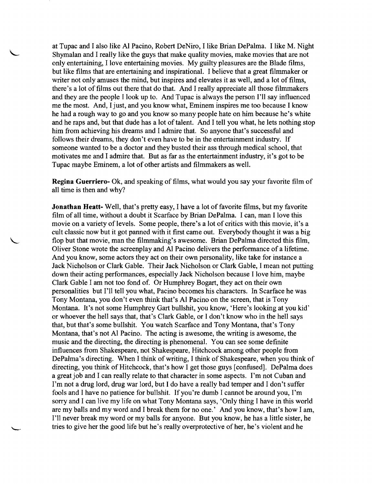at Tupac and I also like Al Pacino, Robert DeNiro, I like Brian DePalma. I like M. Night Shymalan and I really like the guys that make quality movies, make movies that are not only entertaining, I love entertaining movies. My guilty pleasures are the Blade films, but like films that are entertaining and inspirational. I believe that a great filmmaker or writer not only amuses the mind, but inspires and elevates it as well, and a lot of films, there's a lot of films out there that do that. And I really appreciate all those filmmakers and they are the people I look up to. And Tupac is always the person I'll say influenced me the most. And, I just, and you know what, Eminem inspires me too because I know he had a rough way to go and you know so many people hate on him because he's white and he raps and, but that dude has a lot of talent. And I tell you what, he lets nothing stop him from achieving his dreams and I admire that. So anyone that's successful and follows their dreams, they don't even have to be in the entertainment industry. If someone wanted to be a doctor and they busted their ass through medical school, that motivates me and I admire that. But as far as the entertainment industry, it's got to be Tupac maybe Eminem, a lot of other artists and filmmakers as well.

**Regina Guerriero-** Ok, and speaking of films, what would you say your favorite film of all time is then and why?

Jonathan Heatt-Well, that's pretty easy, I have a lot of favorite films, but my favorite film of all time, without a doubt it Scarface by Brian DePalma. I can, man I love this movie on a variety of levels. Some people, there's a lot of critics with this movie, it's a cult classic now but it got panned with it first came out. Everybody thought it was a big flop but that movie, man the filmmaking's awesome. Brian DePalma directed this film, Oliver Stone wrote the screenplay and AI Pacino delivers the performance of a lifetime. And you know, some actors they act on their own personality, like take for instance a Jack Nicholson or Clark Gable. Their Jack Nicholson or Clark Gable, I mean not putting down their acting performances, especially Jack Nicholson because I love him, maybe Clark Gable I am not too fond of. Or Humphrey Bogart, they act on their own personalities but I'll tell you what, Pacino becomes his characters. In Scarface he was Tony Montana, you don't even think that's Al Pacino on the screen, that is Tony Montana. It's not some Humphrey Gart bullshit, you know, 'Here's looking at you kid' or whoever the hell says that, that's Clark Gable, or I don't know who in the hell says that, but that's some bullshit. You watch Scarface and Tony Montana, that's Tony Montana, that's not Al Pacino. The acting is awesome, the writing is awesome, the music and the directing, the directing is phenomenal. You can see some definite influences from Shakespeare, not Shakespeare, Hitchcock among other people from DePalma's directing. When I think of writing, I think of Shakespeare, when you think of directing, you think of Hitchcock, that's how I get those guys [confused]. DePalma does a great job and I can really relate to that character in some aspects. I'm not Cuban and I'm not a drug lord, drug war lord, but I do have a really bad temper and I don't suffer fools and I have no patience for bullshit. If you're dumb I cannot be around you, I'm sorry and I can live my life on what Tony Montana says, 'Only thing I have in this world are my balls and my word and I break them for no one.' And you know, that's how I am, I'll never break my word or my balls for anyone. But you know, he has a little sister, he tries to give her the good life but he's really overprotective of her, he's violent and he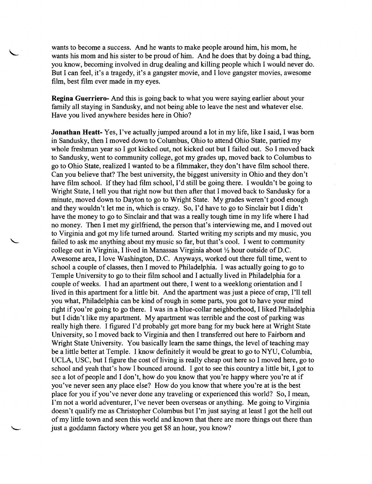wants to become a success. And he wants to make people around him, his mom, he wants his mom and his sister to be proud of him. And he does that by doing a bad thing, you know, becoming involved in drug dealing and killing people which I would never do. But I can feel, it's a tragedy, it's a gangster movie, and I love gangster movies, awesome film, best film ever made in my eyes.

**Regina Guerriero-** And this is going back to what you were saying earlier about your family all staying in Sandusky, and not being able to leave the nest and whatever else. Have you lived anywhere besides here in Ohio?

**Jonathan Heatt-** Yes, I've actually jumped around a lot in my life, like I said, I was born in Sandusky, then I moved down to Columbus, Ohio to attend Ohio State, partied my whole freshman year so I got kicked out, not kicked out but I failed out. So I moved back to Sandusky, went to community college, got my grades up, moved back to Columbus to go to Ohio State, realized I wanted to be a filmmaker, they don't have film school there. Can you believe that? The best university, the biggest university in Ohio and they don't have film school. If they had film school, I'd still be going there. I wouldn't be going to Wright State, I tell you that right now but then after that I moved back to Sandusky for a minute, moved down to Dayton to go to Wright State. My grades weren't good enough and they wouldn't let me in, which is crazy. So, I'd have to go to Sinclair but I didn't have the money to go to Sinclair and that was a really tough time in my life where I had no money. Then I met my girlfriend, the person that's interviewing me, and I moved out to Virginia and got my life turned around. Started writing my scripts and my music, you failed to ask me anything about my music so far, but that's cool. I went to community college out in Virginia, I lived in Manassas Virginia about *Yz* hour outside of D.C. Awesome area, I love Washington, D.C. Anyways, worked out there full time, went to school a couple of classes, then I moved to Philadelphia. I was actually going to go to Temple University to go to their film school and I actually lived in Philadelphia for a couple of weeks. I had an apartment out there, I went to a weeklong orientation and I lived in this apartment for a little bit. And the apartment was just a piece of crap, I'll tell you what, Philadelphia can be kind of rough in some parts, you got to have your mind right if you're going to go there. I was in a blue-collar neighborhood, I liked Philadelphia but I didn't like my apartment. My apartment was terrible and the cost of parking was really high there. I figured I'd probably get more bang for my buck here at Wright State University, so I moved back to Virginia and then I transferred out here to Fairborn and Wright State University. You basically learn the same things, the level of teaching may be a little better at Temple. I know definitely it would be great to go to NYU, Columbia, UCLA, USC, but I figure the cost of living is really cheap out here so I moved here, go to school and yeah that's how I bounced around. I got to see this country a little bit, I got to see a lot of people and I don't, how do you know that you're happy where you're at if you've never seen any place else? How do you know that where you're at is the best place for you if you've never done any traveling or experienced this world? So, I mean, I'm not a world adventurer, I've never been overseas or anything. Me going to Virginia doesn't qualify me as Christopher Columbus but I'm just saying at least I got the hell out of my little town and seen this world and known that there are more things out there than just a goddamn factory where you get \$8 an hour, you know?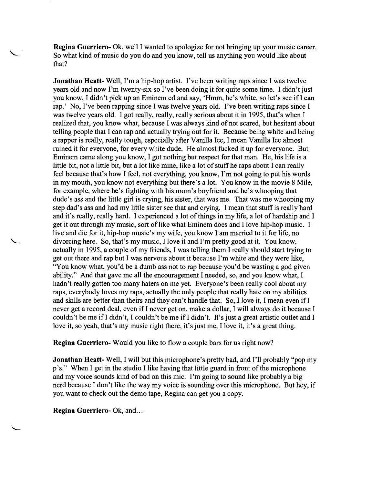**Regina Guerriero-** Ok, well I wanted to apologize for not bringing up your music career. So what kind of music do you do and you know, tell us anything you would like about that?

**Jonathan Heatt-** Well, I'm a hip-hop artist. I've been writing raps since I was twelve years old and now I'm twenty-six so I've been doing it for quite some time. I didn't just you know, I didn't pick up an Eminem cd and say, 'Hmm, he's white, so let's see if I can rap.' No, I've been rapping since I was twelve years old. I've been writing raps since I was twelve years old. I got really, really, really serious about it in 1995, that's when I realized that, you know what, because I was always kind of not scared, but hesitant about telling people that I can rap and actually trying out for it. Because being white and being a rapper is really, really tough, especially after Vanilla Ice, I mean Vanilla Ice almost ruined it for everyone, for every white dude. He almost fucked it up for everyone. But Eminem came along you know, I got nothing but respect for that man. He, his life is a little bit, not a little bit, but a lot like mine, like a lot of stuff he raps about I can really feel because that's how I feel, not everything, you know, I'm not going to put his words in my mouth, you know not everything but there's a lot. You know in the movie 8 Mile, for example, where he's fighting with his mom's boyfriend and he's whooping that dude's ass and the little girl is crying, his sister, that was me. That was me whooping my step dad's ass and had my little sister see that and crying. I mean that stuff is really hard and it's really, really hard. I experienced a lot of things in my life, a lot of hardship and I get it out through my music, sort of like what Eminem does and I love hip-hop music. I live and die for it, hip-hop music's my wife, you know I am married to it for life, no divorcing here. So, that's my music, I love it and I'm pretty good at it. You know, actually in 1995, a couple of my friends, I was telling them I really should start trying to get out there and rap but I was nervous about it because I'm white and they were like, "You know what, you'd be a dumb ass not to rap because you'd be wasting a god given ability." And that gave me all the encouragement I needed, so, and you know what, I hadn't really gotten too many haters on me yet. Everyone's been really cool about my raps, everybody loves my raps, actually the only people that really hate on my abilities and skills are better than theirs and they can't handle that. So, I love it, I mean even if I never get a record deal, even if I never get on, make a dollar, I will always do it because I couldn't be me if I didn't, I couldn't be me if I didn't. It's just a great artistic outlet and I love it, so yeah, that's my music right there, it's just me, I love it, it's a great thing.

**Regina Guerriero-** Would you like to flow a couple bars for us right now?

**Jonathan Heatt-** Well, I will but this microphone's pretty bad, and I'll probably "pop my p's." When I get in the studio I like having that little guard in front of the microphone and my voice sounds kind of bad on this mic. I'm going to sound like probably a big nerd because I don't like the way my voice is sounding over this microphone. But hey, if you want to check out the demo tape, Regina can get you a copy.

**Regina Guerriero-Ok, and...**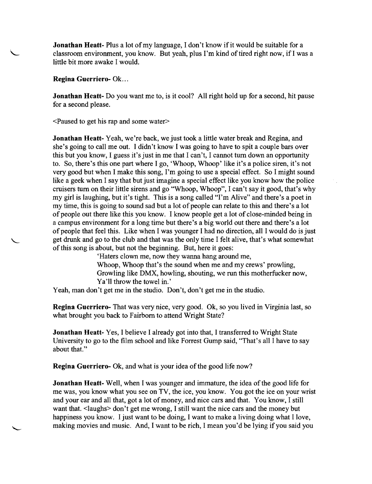Jonathan Heatt- Plus a lot of my language, I don't know if it would be suitable for a classroom environment, you know. But yeah, plus I'm kind of tired right now, if I was a little bit more awake I would.

Regina Guerriero- Ok ...

Jonathan Heatt- Do you want me to, is it cool? All right hold up for a second, hit pause for a second please.

<Paused to get his rap and some water>

Jonathan Heatt- Yeah, we're back, we just took a little water break and Regina, and she's going to call me out. I didn't know I was going to have to spit a couple bars over this but you know, I guess it's just in me that I can't, I cannot turn down an opportunity to. So, there's this one part where I go, 'Whoop, Whoop' like it's a police siren, it's not very good but when I make this song, I'm going to use a special effect. So I might sound like a geek when I say that but just imagine a special effect like you know how the police cruisers turn on their little sirens and go "Whoop, Whoop", I can't say it good, that's why my girl is laughing, but it's tight. This is a song called "I'm Alive" and there's a poet in my time, this is going to sound sad but a lot of people can relate to this and there's a lot of people out there like this you know. I know people get a lot of close-minded being in a campus environment for a long time but there's a big world out there and there's a lot of people that feel this. Like when I was younger I had no direction, all I would do is just get drunk and go to the club and that was the only time I felt alive, that's what somewhat of this song is about, but not the beginning. But, here it goes:

'Haters clown me, now they wanna hang around me, Whoop, Whoop that's the sound when me and my crews' prowling, Growling like DMX, howling, shouting, we run this motherfucker now, Ya'll throw the towel in.'

Yeah, man don't get me in the studio. Don't, don't get me in the studio.

Regina Guerriero- That was very nice, very good. Ok, so you lived in Virginia last, so what brought you back to Fairborn to attend Wright State?

Jonathan Heatt- Yes, I believe I already got into that, I transferred to Wright State University to go to the film school and like Forrest Gump said, "That's all I have to say about that."

Regina Guerriero- Ok, and what is your idea of the good life now?

Jonathan Heatt- Well, when I was younger and immature, the idea of the good life for me was, you know what you see on TV, the ice, you know. You got the ice on your wrist and your ear and all that, got a lot of money, and nice cars and that. You know, I still want that. <laughs> don't get me wrong, I still want the nice cars and the money but happiness you know. I just want to be doing, I want to make a living doing what I love, making movies and music. And, I want to be rich, I mean you'd be lying if you said you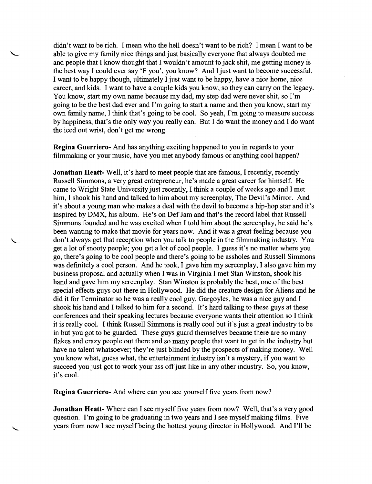didn't want to be rich. I mean who the hell doesn't want to be rich? I mean I want to be able to give my family nice things and just basically everyone that always doubted me and people that I know thought that I wouldn't amount to jack shit, me getting money is the best way I could ever say 'F you', you know? And I just want to become successful, I want to be happy though, ultimately I just want to be happy, have a nice home, nice career, and kids. I want to have a couple kids you know, so they can carryon the legacy. You know, start my own name because my dad, my step dad were never shit, so I'm going to be the best dad ever and I'm going to start a name and then you know, start my own family name, I think that's going to be cool. So yeah, I'm going to measure success by happiness, that's the only way you really can. But I do want the money and I do want the iced out wrist, don't get me wrong.

**Regina Guerriero-** And has anything exciting happened to you in regards to your filmmaking or your music, have you met anybody famous or anything cool happen?

**Jonathan Heatt-** Well, it's hard to meet people that are famous, I recently, recently Russell Simmons, a very great entrepreneur, he's made a great career for himself. He came to Wright State University just recently, I think a couple of weeks ago and I met him, I shook his hand and talked to him about my screenplay, The Devil's Mirror. And it's about a young man who makes a deal with the devil to become a hip-hop star and it's inspired by DMX, his album. He's on Def Jam and that's the record label that Russell Simmons founded and he was excited when I told him about the screenplay, he said he's been wanting to make that movie for years now. And it was a great feeling because you don't always get that reception when you talk to people in the filmmaking industry. You get a lot of snooty people; you get a lot of cool people. I guess it's no matter where you go, there's going to be cool people and there's going to be assholes and Russell Simmons was definitely a cool person. And he took, I gave him my screenplay, I also gave him my business proposal and actually when I was in Virginia I met Stan Winston, shook his hand and gave him my screenplay. Stan Winston is probably the best, one of the best special effects guys out there in Hollywood. He did the creature design for Aliens and he did it for Terminator so he was a really cool guy, Gargoyles, he was a nice guy and I shook his hand and I talked to him for a second. It's hard talking to these guys at these conferences and their speaking lectures because everyone wants their attention so I think it is really cool. I think Russell Simmons is really cool but it's just a great industry to be in but you got to be guarded. These guys guard themselves because there are so many flakes and crazy people out there and so many people that want to get in the industry but have no talent whatsoever; they're just blinded by the prospects of making money. Well you know what, guess what, the entertainment industry isn't a mystery, if you want to succeed you just got to work your ass off just like in any other industry. So, you know, it's cool.

**Regina Guerriero-** And where can you see yourself five years from now?

**Jonathan Heatt-** Where can I see myself five years from now? Well, that's a very good question. I'm going to be graduating in two years and I see myself making films. Five years from now I see myself being the hottest young director in Hollywood. And I'll be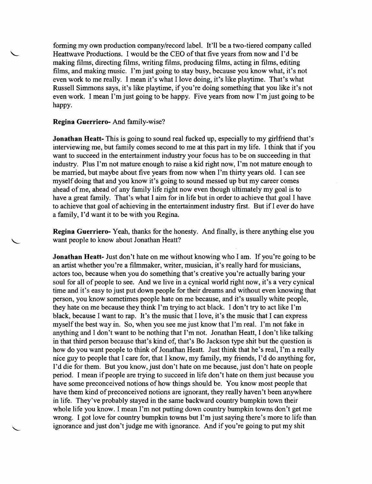fonning my own production company/record label. It'll be a two-tiered company called Heattwave Productions. I would be the CEO of that five years from now and I'd be making films, directing films, writing films, producing films, acting in films, editing films, and making music. I'm just going to stay busy, because you know what, it's not even work to me really. I mean it's what I love doing, it's like playtime. That's what Russell Simmons says, it's like playtime, if you're doing something that you like it's not even work. I mean I'm just going to be happy. Five years from now I'm just going to be happy.

### **Regina Guerriero-** And family-wise?

**Jonathan Heatt-** This is going to sound real fucked up, especially to my girlfriend that's interviewing me, but family comes second to me at this part in my life. I think that if you want to succeed in the entertainment industry your focus has to be on succeeding in that industry. Plus I'm not mature enough to raise a kid right now, I'm not mature enough to be married, but maybe about five years from now when I'm thirty years old. I can see myself doing that and you know it's going to sound messed up but my career comes ahead of me, ahead of any family life right now even though ultimately my goal is to have a great family. That's what I aim for in life but in order to achieve that goal I have to achieve that goal of achieving in the entertainment industry first. But if I ever do have a family, I'd want it to be with you Regina.

**Regina Guerriero-** Yeah, thanks for the honesty. And finally, is there anything else you want people to know about Jonathan Heatt?

**Jonathan Heatt-** Just don't hate on me without knowing who I am. If you're going to be an artist whether you're a filmmaker, writer, musician, it's really hard for musicians, actors too, because when you do something that's creative you're actually baring your soul for all of people to see. And we live in a cynical world right now, it's a very cynical time and it's easy to just put down people for their dreams and without even knowing that person, you know sometimes people hate on me because, and it's usually white people, they hate on me because they think I'm trying to act black. I don't try to act like I'm black, because I want to rap. It's the music that I love, it's the music that I can express myself the best way in. So, when you see me just know that I'm real. I'm not fake in anything and I don't want to be nothing that I'm not. Jonathan Heatt, I don't like talking in that third person because that's kind of, that's Bo Jackson type shit but the question is how do you want people to think of Jonathan Heatt. Just think that he's real, I'm a really nice guy to people that I care for, that I know, my family, my friends, I'd do anything for, I'd die for them. But you know, just don't hate on me because, just don't hate on people period. I mean if people are trying to succeed in life don't hate on them just because you have some preconceived notions of how things should be. You know most people that have them kind of preconceived notions are ignorant, they really haven't been anywhere in life. They've probably stayed in the same backward country bumpkin town their whole life you know. I mean I'm not putting down country bumpkin towns don't get me wrong. I got love for country bumpkin towns but I'm just saying there's more to life than ignorance and just don't judge me with ignorance. And if you're going to put my shit